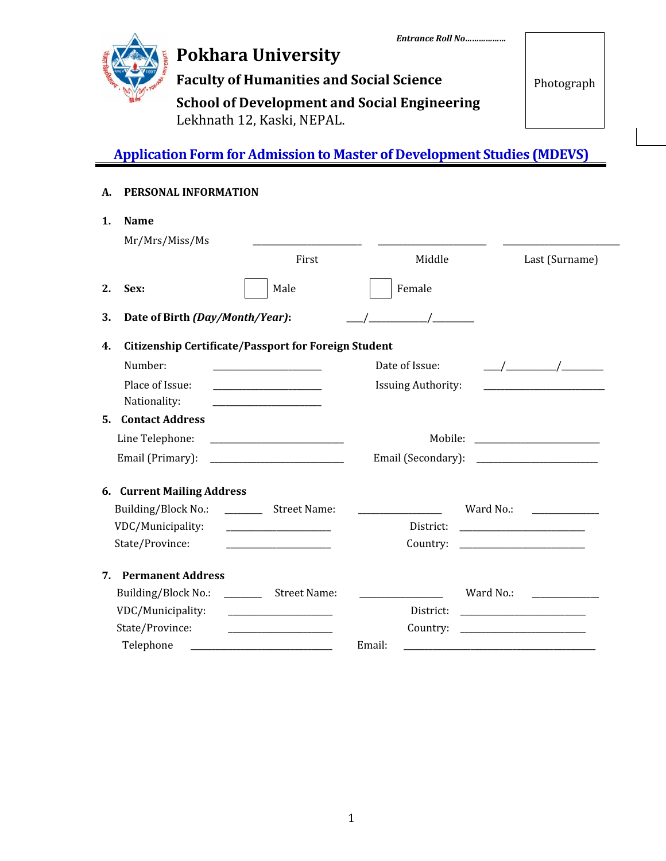

# **Pokhara University**

**Faculty of Humanities and Social Science**

Photograph

**School of Development and Social Engineering** Lekhnath 12, Kaski, NEPAL.

## **Application Form for Admission to Master of Development Studies (MDEVS)**

### **A. PERSONAL INFORMATION**

| 1. | <b>Name</b><br>Mr/Mrs/Miss/Ms                 |                                                             |                           |                                                                                                                                                                                                                                                                                                                     |
|----|-----------------------------------------------|-------------------------------------------------------------|---------------------------|---------------------------------------------------------------------------------------------------------------------------------------------------------------------------------------------------------------------------------------------------------------------------------------------------------------------|
|    |                                               | First                                                       | Middle                    | Last (Surname)                                                                                                                                                                                                                                                                                                      |
| 2. | Sex:                                          | Male                                                        | Female                    |                                                                                                                                                                                                                                                                                                                     |
| 3. | Date of Birth (Day/Month/Year):               |                                                             |                           |                                                                                                                                                                                                                                                                                                                     |
| 4. |                                               | <b>Citizenship Certificate/Passport for Foreign Student</b> |                           |                                                                                                                                                                                                                                                                                                                     |
|    | Number:                                       |                                                             | Date of Issue:            | $\frac{1}{2}$ $\frac{1}{2}$ $\frac{1}{2}$ $\frac{1}{2}$ $\frac{1}{2}$ $\frac{1}{2}$ $\frac{1}{2}$ $\frac{1}{2}$ $\frac{1}{2}$ $\frac{1}{2}$ $\frac{1}{2}$ $\frac{1}{2}$ $\frac{1}{2}$ $\frac{1}{2}$ $\frac{1}{2}$ $\frac{1}{2}$ $\frac{1}{2}$ $\frac{1}{2}$ $\frac{1}{2}$ $\frac{1}{2}$ $\frac{1}{2}$ $\frac{1}{2}$ |
|    | Place of Issue:                               | <u> 1989 - Johann Barbara, martin a</u>                     | <b>Issuing Authority:</b> |                                                                                                                                                                                                                                                                                                                     |
|    | Nationality:                                  |                                                             |                           |                                                                                                                                                                                                                                                                                                                     |
| 5. | <b>Contact Address</b>                        |                                                             |                           |                                                                                                                                                                                                                                                                                                                     |
|    | Line Telephone:                               |                                                             |                           |                                                                                                                                                                                                                                                                                                                     |
|    | Email (Primary):                              |                                                             | Email (Secondary):        |                                                                                                                                                                                                                                                                                                                     |
|    | 6. Current Mailing Address                    |                                                             |                           |                                                                                                                                                                                                                                                                                                                     |
|    | Building/Block No.:                           | _____________ Street Name:                                  |                           | Ward No.:<br><u> 1990 - Jan Alexandria (</u>                                                                                                                                                                                                                                                                        |
|    | VDC/Municipality:                             | <u> 1989 - Johann Barn, mars et al. (b. 1989)</u>           | District:                 | <u> 1989 - Johann Barbara, martin amerikan ba</u>                                                                                                                                                                                                                                                                   |
|    | State/Province:                               |                                                             | Country:                  | <u> 1989 - Johann Barbara, martin a</u>                                                                                                                                                                                                                                                                             |
| 7. | <b>Permanent Address</b>                      |                                                             |                           |                                                                                                                                                                                                                                                                                                                     |
|    | Building/Block No.: ____________ Street Name: |                                                             |                           | Ward No.:                                                                                                                                                                                                                                                                                                           |
|    | VDC/Municipality:                             |                                                             | District:                 | <u> 1989 - Johann Barbara, martin amerikan ba</u>                                                                                                                                                                                                                                                                   |
|    | State/Province:                               |                                                             | Country:                  |                                                                                                                                                                                                                                                                                                                     |
|    | Telephone                                     | <u> 1990 - Johann Barbara, martin a</u>                     | Email:                    |                                                                                                                                                                                                                                                                                                                     |